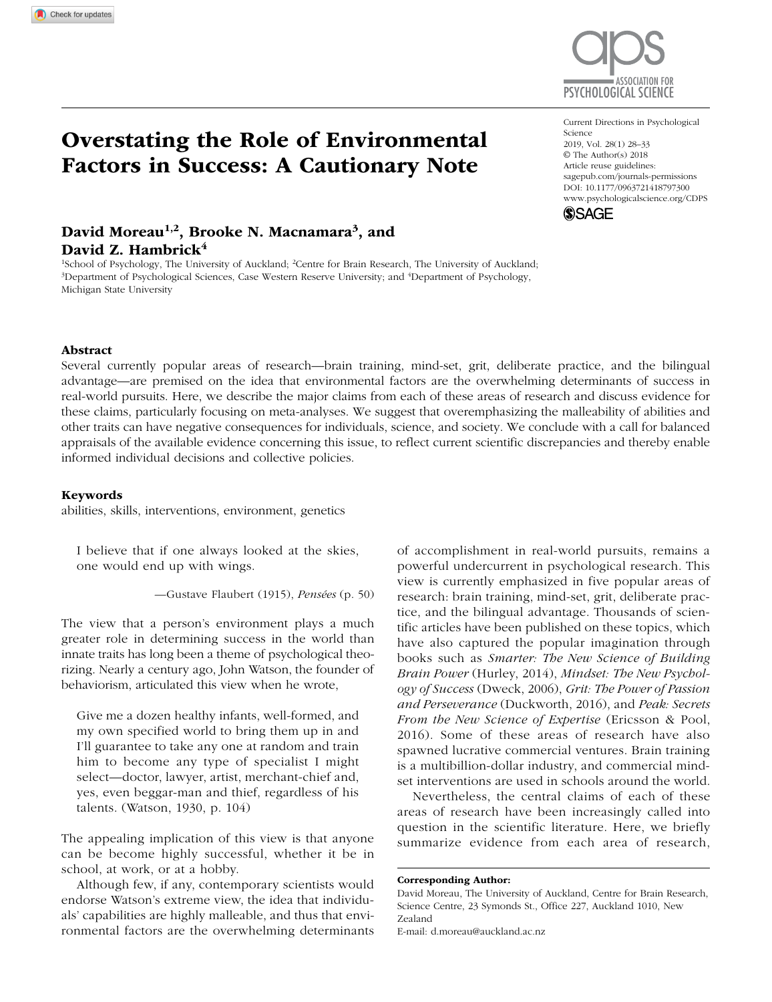# Overstating the Role of Environmental Factors in Success: A Cautionary Note

# David Moreau<sup>1,2</sup>, Brooke N. Macnamara<sup>3</sup>, and David Z. Hambrick<sup>4</sup>

<sup>1</sup>School of Psychology, The University of Auckland; <sup>2</sup>Centre for Brain Research, The University of Auckland;<br><sup>3</sup>Department of Psychological Sciences, Case Western Reserve University, and <sup>4</sup>Department of Psychology Department of Psychological Sciences, Case Western Reserve University; and <sup>4</sup>Department of Psychology, Michigan State University



https://doi.org/10.1177/0963721418797300 DOI: 10.1177/0963721418797300 Current Directions in Psychological Science 2019, Vol. 28(1) 28–33 © The Author(s) 2018 Article reuse guidelines: [sagepub.com/journals-permissions](https://sagepub.com/journals-permissions) [www.psychologicalscience.org/CDPS](http://www.psychologicalscience.org/cdps)



#### Abstract

Several currently popular areas of research—brain training, mind-set, grit, deliberate practice, and the bilingual advantage—are premised on the idea that environmental factors are the overwhelming determinants of success in real-world pursuits. Here, we describe the major claims from each of these areas of research and discuss evidence for these claims, particularly focusing on meta-analyses. We suggest that overemphasizing the malleability of abilities and other traits can have negative consequences for individuals, science, and society. We conclude with a call for balanced appraisals of the available evidence concerning this issue, to reflect current scientific discrepancies and thereby enable informed individual decisions and collective policies.

#### Keywords

abilities, skills, interventions, environment, genetics

I believe that if one always looked at the skies, one would end up with wings.

—Gustave Flaubert (1915), *Pensées* (p. 50)

The view that a person's environment plays a much greater role in determining success in the world than innate traits has long been a theme of psychological theorizing. Nearly a century ago, John Watson, the founder of behaviorism, articulated this view when he wrote,

Give me a dozen healthy infants, well-formed, and my own specified world to bring them up in and I'll guarantee to take any one at random and train him to become any type of specialist I might select—doctor, lawyer, artist, merchant-chief and, yes, even beggar-man and thief, regardless of his talents. (Watson, 1930, p. 104)

The appealing implication of this view is that anyone can be become highly successful, whether it be in school, at work, or at a hobby.

Although few, if any, contemporary scientists would endorse Watson's extreme view, the idea that individuals' capabilities are highly malleable, and thus that environmental factors are the overwhelming determinants of accomplishment in real-world pursuits, remains a powerful undercurrent in psychological research. This view is currently emphasized in five popular areas of research: brain training, mind-set, grit, deliberate practice, and the bilingual advantage. Thousands of scientific articles have been published on these topics, which have also captured the popular imagination through books such as *Smarter: The New Science of Building Brain Power* (Hurley, 2014), *Mindset: The New Psychology of Success* (Dweck, 2006), *Grit: The Power of Passion and Perseverance* (Duckworth, 2016), and *Peak: Secrets from the New Science of Expertise* (Ericsson & Pool, 2016). Some of these areas of research have also spawned lucrative commercial ventures. Brain training is a multibillion-dollar industry, and commercial mindset interventions are used in schools around the world.

Nevertheless, the central claims of each of these areas of research have been increasingly called into question in the scientific literature. Here, we briefly summarize evidence from each area of research,

Corresponding Author:

E-mail: d.moreau@auckland.ac.nz

David Moreau, The University of Auckland, Centre for Brain Research, Science Centre, 23 Symonds St., Office 227, Auckland 1010, New Zealand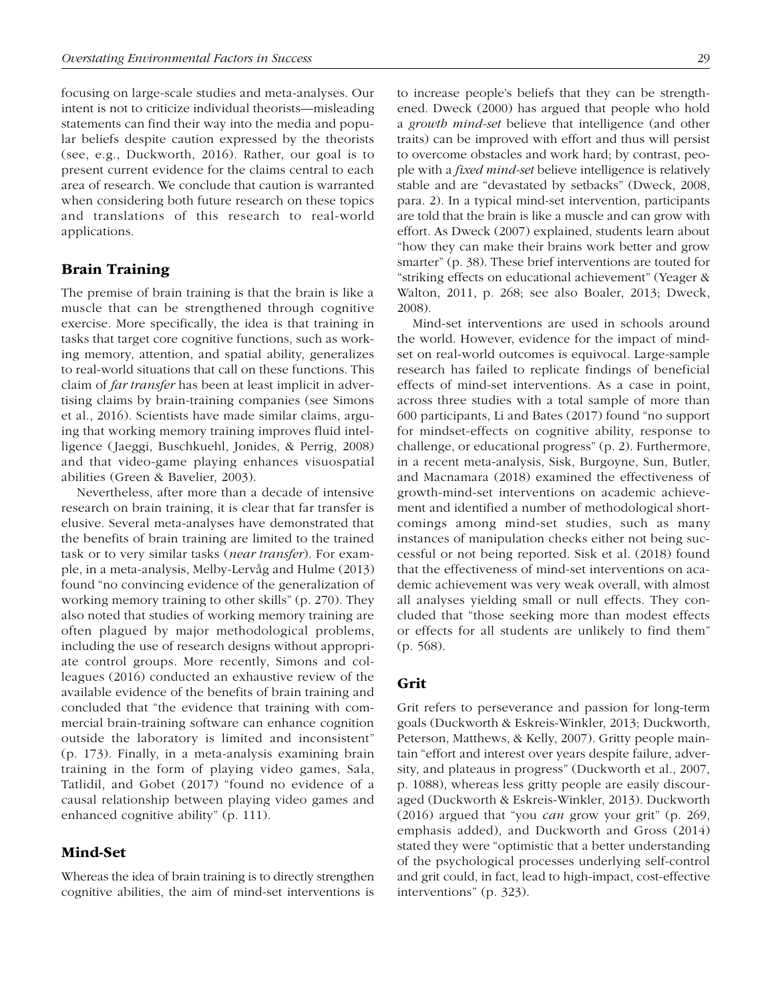focusing on large-scale studies and meta-analyses. Our intent is not to criticize individual theorists—misleading statements can find their way into the media and popular beliefs despite caution expressed by the theorists (see, e.g., Duckworth, 2016). Rather, our goal is to present current evidence for the claims central to each area of research. We conclude that caution is warranted when considering both future research on these topics and translations of this research to real-world applications.

# Brain Training

The premise of brain training is that the brain is like a muscle that can be strengthened through cognitive exercise. More specifically, the idea is that training in tasks that target core cognitive functions, such as working memory, attention, and spatial ability, generalizes to real-world situations that call on these functions. This claim of *far transfer* has been at least implicit in advertising claims by brain-training companies (see Simons et al., 2016). Scientists have made similar claims, arguing that working memory training improves fluid intelligence (Jaeggi, Buschkuehl, Jonides, & Perrig, 2008) and that video-game playing enhances visuospatial abilities (Green & Bavelier, 2003).

Nevertheless, after more than a decade of intensive research on brain training, it is clear that far transfer is elusive. Several meta-analyses have demonstrated that the benefits of brain training are limited to the trained task or to very similar tasks (*near transfer*). For example, in a meta-analysis, Melby-Lervåg and Hulme (2013) found "no convincing evidence of the generalization of working memory training to other skills" (p. 270). They also noted that studies of working memory training are often plagued by major methodological problems, including the use of research designs without appropriate control groups. More recently, Simons and colleagues (2016) conducted an exhaustive review of the available evidence of the benefits of brain training and concluded that "the evidence that training with commercial brain-training software can enhance cognition outside the laboratory is limited and inconsistent" (p. 173). Finally, in a meta-analysis examining brain training in the form of playing video games, Sala, Tatlidil, and Gobet (2017) "found no evidence of a causal relationship between playing video games and enhanced cognitive ability" (p. 111).

# Mind-Set

Whereas the idea of brain training is to directly strengthen cognitive abilities, the aim of mind-set interventions is to increase people's beliefs that they can be strengthened. Dweck (2000) has argued that people who hold a *growth mind-set* believe that intelligence (and other traits) can be improved with effort and thus will persist to overcome obstacles and work hard; by contrast, people with a *fixed mind-set* believe intelligence is relatively stable and are "devastated by setbacks" (Dweck, 2008, para. 2). In a typical mind-set intervention, participants are told that the brain is like a muscle and can grow with effort. As Dweck (2007) explained, students learn about "how they can make their brains work better and grow smarter" (p. 38). These brief interventions are touted for "striking effects on educational achievement" (Yeager & Walton, 2011, p. 268; see also Boaler, 2013; Dweck, 2008).

Mind-set interventions are used in schools around the world. However, evidence for the impact of mindset on real-world outcomes is equivocal. Large-sample research has failed to replicate findings of beneficial effects of mind-set interventions. As a case in point, across three studies with a total sample of more than 600 participants, Li and Bates (2017) found "no support for mindset-effects on cognitive ability, response to challenge, or educational progress" (p. 2). Furthermore, in a recent meta-analysis, Sisk, Burgoyne, Sun, Butler, and Macnamara (2018) examined the effectiveness of growth-mind-set interventions on academic achievement and identified a number of methodological shortcomings among mind-set studies, such as many instances of manipulation checks either not being successful or not being reported. Sisk et al. (2018) found that the effectiveness of mind-set interventions on academic achievement was very weak overall, with almost all analyses yielding small or null effects. They concluded that "those seeking more than modest effects or effects for all students are unlikely to find them" (p. 568).

# Grit

Grit refers to perseverance and passion for long-term goals (Duckworth & Eskreis-Winkler, 2013; Duckworth, Peterson, Matthews, & Kelly, 2007). Gritty people maintain "effort and interest over years despite failure, adversity, and plateaus in progress" (Duckworth et al., 2007, p. 1088), whereas less gritty people are easily discouraged (Duckworth & Eskreis-Winkler, 2013). Duckworth (2016) argued that "you *can* grow your grit" (p. 269, emphasis added), and Duckworth and Gross (2014) stated they were "optimistic that a better understanding of the psychological processes underlying self-control and grit could, in fact, lead to high-impact, cost-effective interventions" (p. 323).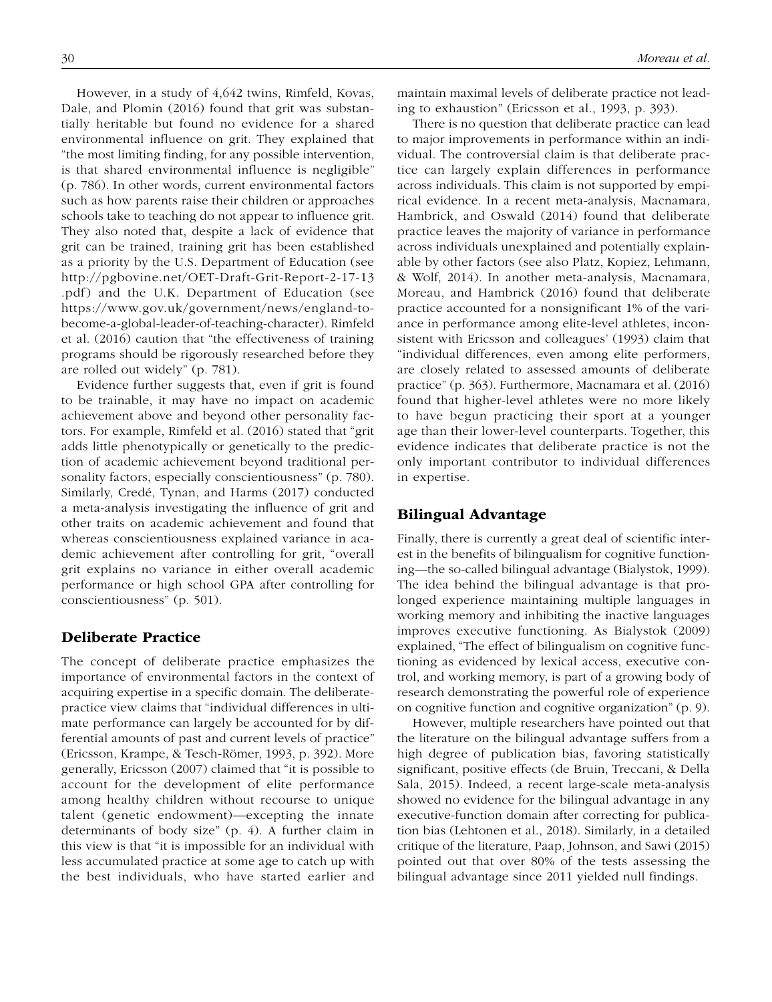However, in a study of 4,642 twins, Rimfeld, Kovas, Dale, and Plomin (2016) found that grit was substantially heritable but found no evidence for a shared environmental influence on grit. They explained that "the most limiting finding, for any possible intervention, is that shared environmental influence is negligible" (p. 786). In other words, current environmental factors such as how parents raise their children or approaches schools take to teaching do not appear to influence grit. They also noted that, despite a lack of evidence that grit can be trained, training grit has been established as a priority by the U.S. Department of Education (see [http://pgbovine.net/OET-Draft-Grit-Report-2-17-13](http://pgbovine.net/OET-Draft-Grit-Report-2-17-13.pdf) [.pdf](http://pgbovine.net/OET-Draft-Grit-Report-2-17-13.pdf)) and the U.K. Department of Education (see [https://www.gov.uk/government/news/england-to](https://www.gov.uk/government/news/england-to-become-a-global-leader-of-teaching-character)[become-a-global-leader-of-teaching-character\)](https://www.gov.uk/government/news/england-to-become-a-global-leader-of-teaching-character). Rimfeld et al. (2016) caution that "the effectiveness of training programs should be rigorously researched before they are rolled out widely" (p. 781).

Evidence further suggests that, even if grit is found to be trainable, it may have no impact on academic achievement above and beyond other personality factors. For example, Rimfeld et al. (2016) stated that "grit adds little phenotypically or genetically to the prediction of academic achievement beyond traditional personality factors, especially conscientiousness" (p. 780). Similarly, Credé, Tynan, and Harms (2017) conducted a meta-analysis investigating the influence of grit and other traits on academic achievement and found that whereas conscientiousness explained variance in academic achievement after controlling for grit, "overall grit explains no variance in either overall academic performance or high school GPA after controlling for conscientiousness" (p. 501).

### Deliberate Practice

The concept of deliberate practice emphasizes the importance of environmental factors in the context of acquiring expertise in a specific domain. The deliberatepractice view claims that "individual differences in ultimate performance can largely be accounted for by differential amounts of past and current levels of practice" (Ericsson, Krampe, & Tesch-Römer, 1993, p. 392). More generally, Ericsson (2007) claimed that "it is possible to account for the development of elite performance among healthy children without recourse to unique talent (genetic endowment)—excepting the innate determinants of body size" (p. 4). A further claim in this view is that "it is impossible for an individual with less accumulated practice at some age to catch up with the best individuals, who have started earlier and maintain maximal levels of deliberate practice not leading to exhaustion" (Ericsson et al., 1993, p. 393).

There is no question that deliberate practice can lead to major improvements in performance within an individual. The controversial claim is that deliberate practice can largely explain differences in performance across individuals. This claim is not supported by empirical evidence. In a recent meta-analysis, Macnamara, Hambrick, and Oswald (2014) found that deliberate practice leaves the majority of variance in performance across individuals unexplained and potentially explainable by other factors (see also Platz, Kopiez, Lehmann, & Wolf, 2014). In another meta-analysis, Macnamara, Moreau, and Hambrick (2016) found that deliberate practice accounted for a nonsignificant 1% of the variance in performance among elite-level athletes, inconsistent with Ericsson and colleagues' (1993) claim that "individual differences, even among elite performers, are closely related to assessed amounts of deliberate practice" (p. 363). Furthermore, Macnamara et al. (2016) found that higher-level athletes were no more likely to have begun practicing their sport at a younger age than their lower-level counterparts. Together, this evidence indicates that deliberate practice is not the only important contributor to individual differences in expertise.

## Bilingual Advantage

Finally, there is currently a great deal of scientific interest in the benefits of bilingualism for cognitive functioning—the so-called bilingual advantage (Bialystok, 1999). The idea behind the bilingual advantage is that prolonged experience maintaining multiple languages in working memory and inhibiting the inactive languages improves executive functioning. As Bialystok (2009) explained, "The effect of bilingualism on cognitive functioning as evidenced by lexical access, executive control, and working memory, is part of a growing body of research demonstrating the powerful role of experience on cognitive function and cognitive organization" (p. 9).

However, multiple researchers have pointed out that the literature on the bilingual advantage suffers from a high degree of publication bias, favoring statistically significant, positive effects (de Bruin, Treccani, & Della Sala, 2015). Indeed, a recent large-scale meta-analysis showed no evidence for the bilingual advantage in any executive-function domain after correcting for publication bias (Lehtonen et al., 2018). Similarly, in a detailed critique of the literature, Paap, Johnson, and Sawi (2015) pointed out that over 80% of the tests assessing the bilingual advantage since 2011 yielded null findings.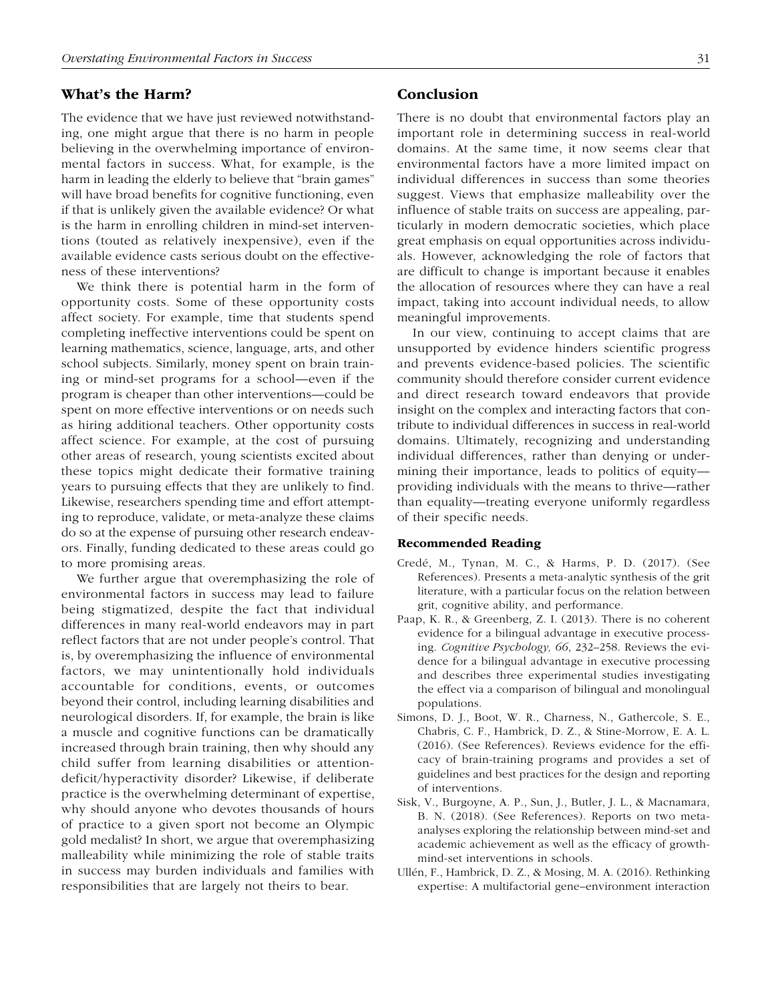# What's the Harm?

The evidence that we have just reviewed notwithstanding, one might argue that there is no harm in people believing in the overwhelming importance of environmental factors in success. What, for example, is the harm in leading the elderly to believe that "brain games" will have broad benefits for cognitive functioning, even if that is unlikely given the available evidence? Or what is the harm in enrolling children in mind-set interventions (touted as relatively inexpensive), even if the available evidence casts serious doubt on the effectiveness of these interventions?

We think there is potential harm in the form of opportunity costs. Some of these opportunity costs affect society. For example, time that students spend completing ineffective interventions could be spent on learning mathematics, science, language, arts, and other school subjects. Similarly, money spent on brain training or mind-set programs for a school—even if the program is cheaper than other interventions—could be spent on more effective interventions or on needs such as hiring additional teachers. Other opportunity costs affect science. For example, at the cost of pursuing other areas of research, young scientists excited about these topics might dedicate their formative training years to pursuing effects that they are unlikely to find. Likewise, researchers spending time and effort attempting to reproduce, validate, or meta-analyze these claims do so at the expense of pursuing other research endeavors. Finally, funding dedicated to these areas could go to more promising areas.

We further argue that overemphasizing the role of environmental factors in success may lead to failure being stigmatized, despite the fact that individual differences in many real-world endeavors may in part reflect factors that are not under people's control. That is, by overemphasizing the influence of environmental factors, we may unintentionally hold individuals accountable for conditions, events, or outcomes beyond their control, including learning disabilities and neurological disorders. If, for example, the brain is like a muscle and cognitive functions can be dramatically increased through brain training, then why should any child suffer from learning disabilities or attentiondeficit/hyperactivity disorder? Likewise, if deliberate practice is the overwhelming determinant of expertise, why should anyone who devotes thousands of hours of practice to a given sport not become an Olympic gold medalist? In short, we argue that overemphasizing malleability while minimizing the role of stable traits in success may burden individuals and families with responsibilities that are largely not theirs to bear.

## Conclusion

There is no doubt that environmental factors play an important role in determining success in real-world domains. At the same time, it now seems clear that environmental factors have a more limited impact on individual differences in success than some theories suggest. Views that emphasize malleability over the influence of stable traits on success are appealing, particularly in modern democratic societies, which place great emphasis on equal opportunities across individuals. However, acknowledging the role of factors that are difficult to change is important because it enables the allocation of resources where they can have a real impact, taking into account individual needs, to allow meaningful improvements.

In our view, continuing to accept claims that are unsupported by evidence hinders scientific progress and prevents evidence-based policies. The scientific community should therefore consider current evidence and direct research toward endeavors that provide insight on the complex and interacting factors that contribute to individual differences in success in real-world domains. Ultimately, recognizing and understanding individual differences, rather than denying or undermining their importance, leads to politics of equity providing individuals with the means to thrive—rather than equality—treating everyone uniformly regardless of their specific needs.

#### Recommended Reading

- Credé, M., Tynan, M. C., & Harms, P. D. (2017). (See References). Presents a meta-analytic synthesis of the grit literature, with a particular focus on the relation between grit, cognitive ability, and performance.
- Paap, K. R., & Greenberg, Z. I. (2013). There is no coherent evidence for a bilingual advantage in executive processing. *Cognitive Psychology, 66*, 232–258. Reviews the evidence for a bilingual advantage in executive processing and describes three experimental studies investigating the effect via a comparison of bilingual and monolingual populations.
- Simons, D. J., Boot, W. R., Charness, N., Gathercole, S. E., Chabris, C. F., Hambrick, D. Z., & Stine-Morrow, E. A. L. (2016). (See References). Reviews evidence for the efficacy of brain-training programs and provides a set of guidelines and best practices for the design and reporting of interventions.
- Sisk, V., Burgoyne, A. P., Sun, J., Butler, J. L., & Macnamara, B. N. (2018). (See References). Reports on two metaanalyses exploring the relationship between mind-set and academic achievement as well as the efficacy of growthmind-set interventions in schools.
- Ullén, F., Hambrick, D. Z., & Mosing, M. A. (2016). Rethinking expertise: A multifactorial gene–environment interaction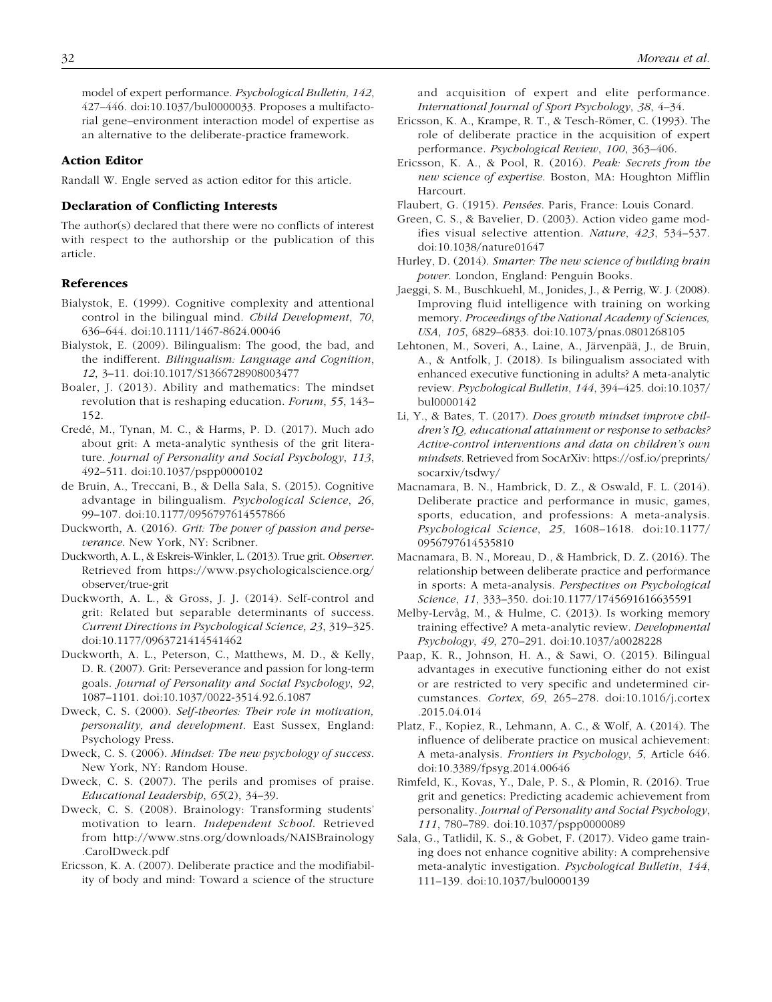model of expert performance. *Psychological Bulletin, 142*, 427–446. doi:10.1037/bul0000033. Proposes a multifactorial gene–environment interaction model of expertise as an alternative to the deliberate-practice framework.

#### Action Editor

Randall W. Engle served as action editor for this article.

#### Declaration of Conflicting Interests

The author(s) declared that there were no conflicts of interest with respect to the authorship or the publication of this article.

#### References

- Bialystok, E. (1999). Cognitive complexity and attentional control in the bilingual mind. *Child Development*, *70*, 636–644. doi:10.1111/1467-8624.00046
- Bialystok, E. (2009). Bilingualism: The good, the bad, and the indifferent. *Bilingualism: Language and Cognition*, *12*, 3–11. doi:10.1017/S1366728908003477
- Boaler, J. (2013). Ability and mathematics: The mindset revolution that is reshaping education. *Forum*, *55*, 143– 152.
- Credé, M., Tynan, M. C., & Harms, P. D. (2017). Much ado about grit: A meta-analytic synthesis of the grit literature. *Journal of Personality and Social Psychology*, *113*, 492–511. doi:10.1037/pspp0000102
- de Bruin, A., Treccani, B., & Della Sala, S. (2015). Cognitive advantage in bilingualism. *Psychological Science*, *26*, 99–107. doi:10.1177/0956797614557866
- Duckworth, A. (2016). *Grit: The power of passion and perseverance*. New York, NY: Scribner.
- Duckworth, A. L., & Eskreis-Winkler, L. (2013). True grit. *Observer*. Retrieved from [https://www.psychologicalscience.org/](https://www.psychologicalscience.org/observer/true-grit) [observer/true-grit](https://www.psychologicalscience.org/observer/true-grit)
- Duckworth, A. L., & Gross, J. J. (2014). Self-control and grit: Related but separable determinants of success. *Current Directions in Psychological Science*, *23*, 319–325. doi:10.1177/0963721414541462
- Duckworth, A. L., Peterson, C., Matthews, M. D., & Kelly, D. R. (2007). Grit: Perseverance and passion for long-term goals. *Journal of Personality and Social Psychology*, *92*, 1087–1101. doi:10.1037/0022-3514.92.6.1087
- Dweck, C. S. (2000). *Self-theories: Their role in motivation, personality, and development*. East Sussex, England: Psychology Press.
- Dweck, C. S. (2006). *Mindset: The new psychology of success*. New York, NY: Random House.
- Dweck, C. S. (2007). The perils and promises of praise. *Educational Leadership*, *65*(2), 34–39.
- Dweck, C. S. (2008). Brainology: Transforming students' motivation to learn. *Independent School*. Retrieved from [http://www.stns.org/downloads/NAISBrainology](http://www.stns.org/downloads/NAISBrainology.CarolDweck.pdf) [.CarolDweck.pdf](http://www.stns.org/downloads/NAISBrainology.CarolDweck.pdf)
- Ericsson, K. A. (2007). Deliberate practice and the modifiability of body and mind: Toward a science of the structure

and acquisition of expert and elite performance. *International Journal of Sport Psychology*, *38*, 4–34.

- Ericsson, K. A., Krampe, R. T., & Tesch-Römer, C. (1993). The role of deliberate practice in the acquisition of expert performance. *Psychological Review*, *100*, 363–406.
- Ericsson, K. A., & Pool, R. (2016). *Peak: Secrets from the new science of expertise*. Boston, MA: Houghton Mifflin Harcourt.
- Flaubert, G. (1915). *Pensées*. Paris, France: Louis Conard.
- Green, C. S., & Bavelier, D. (2003). Action video game modifies visual selective attention. *Nature*, *423*, 534–537. doi:10.1038/nature01647
- Hurley, D. (2014). *Smarter: The new science of building brain power*. London, England: Penguin Books.
- Jaeggi, S. M., Buschkuehl, M., Jonides, J., & Perrig, W. J. (2008). Improving fluid intelligence with training on working memory. *Proceedings of the National Academy of Sciences, USA*, *105*, 6829–6833. doi:10.1073/pnas.0801268105
- Lehtonen, M., Soveri, A., Laine, A., Järvenpää, J., de Bruin, A., & Antfolk, J. (2018). Is bilingualism associated with enhanced executive functioning in adults? A meta-analytic review. *Psychological Bulletin*, *144*, 394–425. doi:10.1037/ bul0000142
- Li, Y., & Bates, T. (2017). *Does growth mindset improve children's IQ, educational attainment or response to setbacks? Active-control interventions and data on children's own mindsets*. Retrieved from SocArXiv: [https://osf.io/preprints/](https://osf.io/preprints/socarxiv/tsdwy/) [socarxiv/tsdwy/](https://osf.io/preprints/socarxiv/tsdwy/)
- Macnamara, B. N., Hambrick, D. Z., & Oswald, F. L. (2014). Deliberate practice and performance in music, games, sports, education, and professions: A meta-analysis. *Psychological Science*, *25*, 1608–1618. doi:10.1177/ 0956797614535810
- Macnamara, B. N., Moreau, D., & Hambrick, D. Z. (2016). The relationship between deliberate practice and performance in sports: A meta-analysis. *Perspectives on Psychological Science*, *11*, 333–350. doi:10.1177/1745691616635591
- Melby-Lervåg, M., & Hulme, C. (2013). Is working memory training effective? A meta-analytic review. *Developmental Psychology*, *49*, 270–291. doi:10.1037/a0028228
- Paap, K. R., Johnson, H. A., & Sawi, O. (2015). Bilingual advantages in executive functioning either do not exist or are restricted to very specific and undetermined circumstances. *Cortex*, *69*, 265–278. doi:10.1016/j.cortex .2015.04.014
- Platz, F., Kopiez, R., Lehmann, A. C., & Wolf, A. (2014). The influence of deliberate practice on musical achievement: A meta-analysis. *Frontiers in Psychology*, *5*, Article 646. doi:10.3389/fpsyg.2014.00646
- Rimfeld, K., Kovas, Y., Dale, P. S., & Plomin, R. (2016). True grit and genetics: Predicting academic achievement from personality. *Journal of Personality and Social Psychology*, *111*, 780–789. doi:10.1037/pspp0000089
- Sala, G., Tatlidil, K. S., & Gobet, F. (2017). Video game training does not enhance cognitive ability: A comprehensive meta-analytic investigation. *Psychological Bulletin*, *144*, 111–139. doi:10.1037/bul0000139